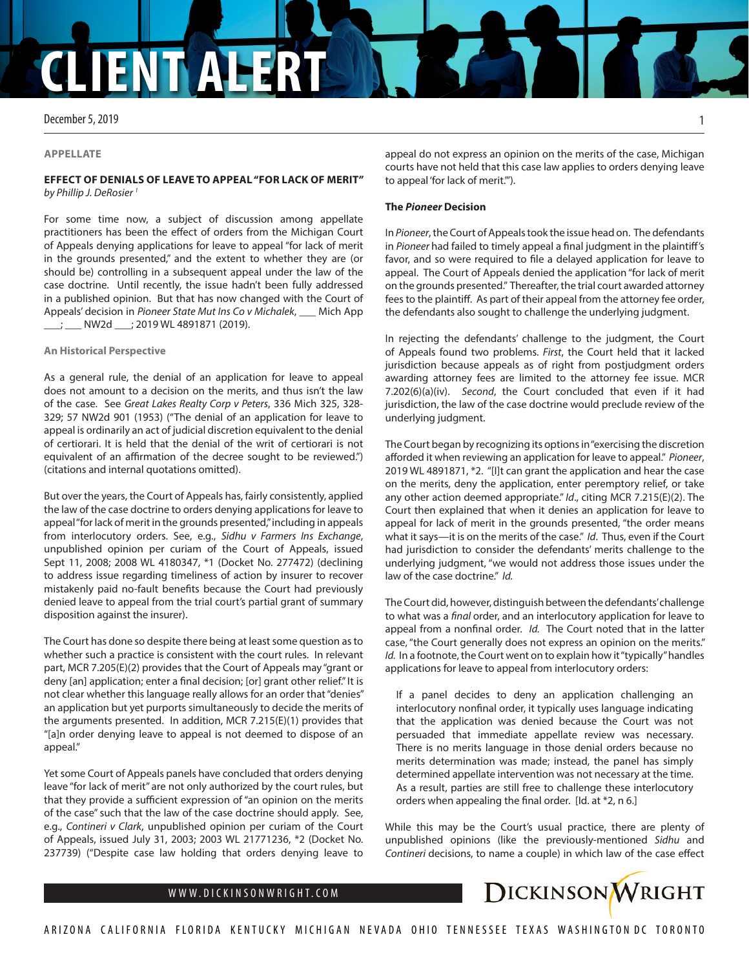# **CLIENT ALERT**

December 5, 2019

#### **APPELLATE**

# **EFFECT OF DENIALS OF LEAVE TO APPEAL "FOR LACK OF MERIT"** *by Phillip J. DeRosier 1*

For some time now, a subject of discussion among appellate practitioners has been the effect of orders from the Michigan Court of Appeals denying applications for leave to appeal "for lack of merit in the grounds presented," and the extent to whether they are (or should be) controlling in a subsequent appeal under the law of the case doctrine. Until recently, the issue hadn't been fully addressed in a published opinion. But that has now changed with the Court of Appeals' decision in *Pioneer State Mut Ins Co v Michalek*, \_\_\_ Mich App \_\_\_; \_\_\_ NW2d \_\_\_; 2019 WL 4891871 (2019).

### **An Historical Perspective**

As a general rule, the denial of an application for leave to appeal does not amount to a decision on the merits, and thus isn't the law of the case. See *Great Lakes Realty Corp v Peters*, 336 Mich 325, 328- 329; 57 NW2d 901 (1953) ("The denial of an application for leave to appeal is ordinarily an act of judicial discretion equivalent to the denial of certiorari. It is held that the denial of the writ of certiorari is not equivalent of an affirmation of the decree sought to be reviewed.") (citations and internal quotations omitted).

But over the years, the Court of Appeals has, fairly consistently, applied the law of the case doctrine to orders denying applications for leave to appeal "for lack of merit in the grounds presented," including in appeals from interlocutory orders. See, e.g., *Sidhu v Farmers Ins Exchange*, unpublished opinion per curiam of the Court of Appeals, issued Sept 11, 2008; 2008 WL 4180347, \*1 (Docket No. 277472) (declining to address issue regarding timeliness of action by insurer to recover mistakenly paid no-fault benefits because the Court had previously denied leave to appeal from the trial court's partial grant of summary disposition against the insurer).

The Court has done so despite there being at least some question as to whether such a practice is consistent with the court rules. In relevant part, MCR 7.205(E)(2) provides that the Court of Appeals may "grant or deny [an] application; enter a final decision; [or] grant other relief." It is not clear whether this language really allows for an order that "denies" an application but yet purports simultaneously to decide the merits of the arguments presented. In addition, MCR 7.215(E)(1) provides that "[a]n order denying leave to appeal is not deemed to dispose of an appeal."

Yet some Court of Appeals panels have concluded that orders denying leave "for lack of merit" are not only authorized by the court rules, but that they provide a sufficient expression of "an opinion on the merits of the case" such that the law of the case doctrine should apply. See, e.g., *Contineri v Clark*, unpublished opinion per curiam of the Court of Appeals, issued July 31, 2003; 2003 WL 21771236, \*2 (Docket No. 237739) ("Despite case law holding that orders denying leave to

appeal do not express an opinion on the merits of the case, Michigan courts have not held that this case law applies to orders denying leave to appeal 'for lack of merit.'").

## **The** *Pioneer* **Decision**

In *Pioneer*, the Court of Appeals took the issue head on. The defendants in *Pioneer* had failed to timely appeal a final judgment in the plaintiff's favor, and so were required to file a delayed application for leave to appeal. The Court of Appeals denied the application "for lack of merit on the grounds presented." Thereafter, the trial court awarded attorney fees to the plaintiff. As part of their appeal from the attorney fee order, the defendants also sought to challenge the underlying judgment.

In rejecting the defendants' challenge to the judgment, the Court of Appeals found two problems. *First*, the Court held that it lacked jurisdiction because appeals as of right from postjudgment orders awarding attorney fees are limited to the attorney fee issue. MCR 7.202(6)(a)(iv). *Second*, the Court concluded that even if it had jurisdiction, the law of the case doctrine would preclude review of the underlying judgment.

The Court began by recognizing its options in "exercising the discretion afforded it when reviewing an application for leave to appeal." *Pioneer*, 2019 WL 4891871, \*2. "[I]t can grant the application and hear the case on the merits, deny the application, enter peremptory relief, or take any other action deemed appropriate." *Id*., citing MCR 7.215(E)(2). The Court then explained that when it denies an application for leave to appeal for lack of merit in the grounds presented, "the order means what it says—it is on the merits of the case." *Id*. Thus, even if the Court had jurisdiction to consider the defendants' merits challenge to the underlying judgment, "we would not address those issues under the law of the case doctrine." *Id.*

The Court did, however, distinguish between the defendants' challenge to what was a *final* order, and an interlocutory application for leave to appeal from a nonfinal order. *Id.* The Court noted that in the latter case, "the Court generally does not express an opinion on the merits." *Id.* In a footnote, the Court went on to explain how it "typically" handles applications for leave to appeal from interlocutory orders:

If a panel decides to deny an application challenging an interlocutory nonfinal order, it typically uses language indicating that the application was denied because the Court was not persuaded that immediate appellate review was necessary. There is no merits language in those denial orders because no merits determination was made; instead, the panel has simply determined appellate intervention was not necessary at the time. As a result, parties are still free to challenge these interlocutory orders when appealing the final order. [Id. at \*2, n 6.]

While this may be the Court's usual practice, there are plenty of unpublished opinions (like the previously-mentioned *Sidhu* and *Contineri* decisions, to name a couple) in which law of the case effect



1